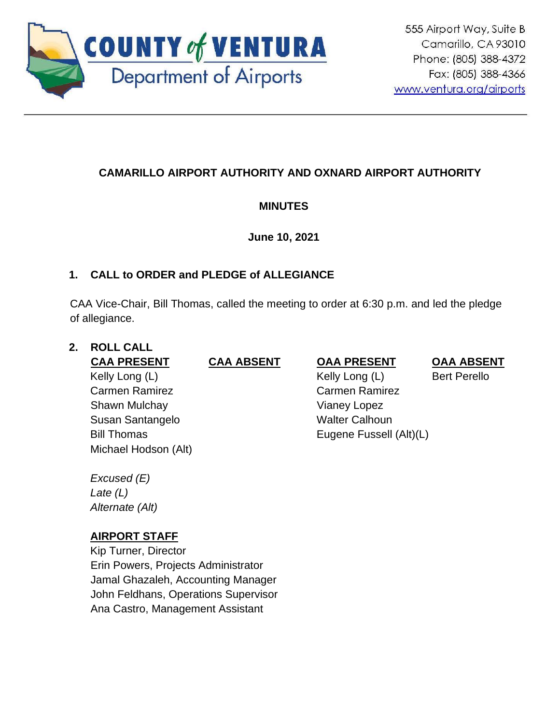

# **CAMARILLO AIRPORT AUTHORITY AND OXNARD AIRPORT AUTHORITY**

# **MINUTES**

**June 10, 2021**

# **1. CALL to ORDER and PLEDGE of ALLEGIANCE**

CAA Vice-Chair, Bill Thomas, called the meeting to order at 6:30 p.m. and led the pledge of allegiance.

# **2. ROLL CALL**

Kelly Long (L) Carmen Ramirez Shawn Mulchay **Vianey Lopez** Susan Santangelo **Walter Calhoun** Michael Hodson (Alt)

**CAA PRESENT CAA ABSENT OAA PRESENT OAA ABSENT**

 Kelly Long (L) Carmen Ramirez Bill Thomas **Eugene Fussell** (Alt)(L)

Bert Perello

*Excused (E) Late (L) Alternate (Alt)*

# **AIRPORT STAFF**

Kip Turner, Director Erin Powers, Projects Administrator Jamal Ghazaleh, Accounting Manager John Feldhans, Operations Supervisor Ana Castro, Management Assistant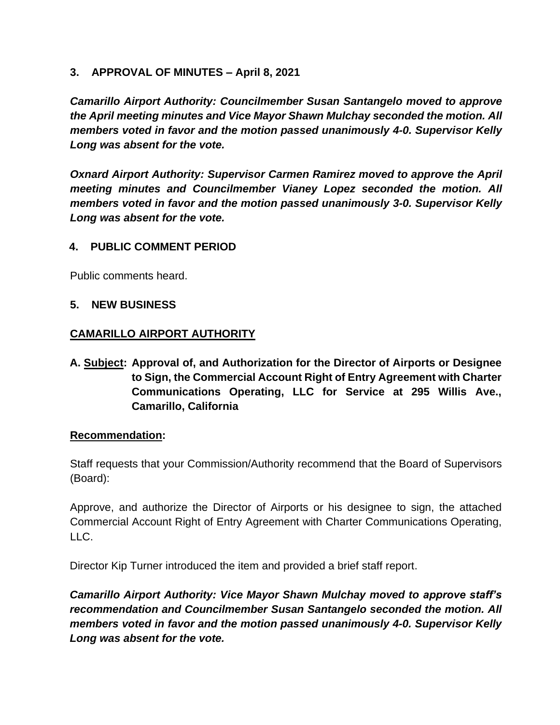#### **3. APPROVAL OF MINUTES – April 8, 2021**

*Camarillo Airport Authority: Councilmember Susan Santangelo moved to approve the April meeting minutes and Vice Mayor Shawn Mulchay seconded the motion. All members voted in favor and the motion passed unanimously 4-0. Supervisor Kelly Long was absent for the vote.* 

*Oxnard Airport Authority: Supervisor Carmen Ramirez moved to approve the April meeting minutes and Councilmember Vianey Lopez seconded the motion. All members voted in favor and the motion passed unanimously 3-0. Supervisor Kelly Long was absent for the vote.*

#### **4. PUBLIC COMMENT PERIOD**

Public comments heard.

#### **5. NEW BUSINESS**

#### **CAMARILLO AIRPORT AUTHORITY**

**A. Subject: Approval of, and Authorization for the Director of Airports or Designee to Sign, the Commercial Account Right of Entry Agreement with Charter Communications Operating, LLC for Service at 295 Willis Ave., Camarillo, California**

#### **Recommendation:**

Staff requests that your Commission/Authority recommend that the Board of Supervisors (Board):

Approve, and authorize the Director of Airports or his designee to sign, the attached Commercial Account Right of Entry Agreement with Charter Communications Operating, LLC.

Director Kip Turner introduced the item and provided a brief staff report.

*Camarillo Airport Authority: Vice Mayor Shawn Mulchay moved to approve staff's recommendation and Councilmember Susan Santangelo seconded the motion. All members voted in favor and the motion passed unanimously 4-0. Supervisor Kelly Long was absent for the vote.*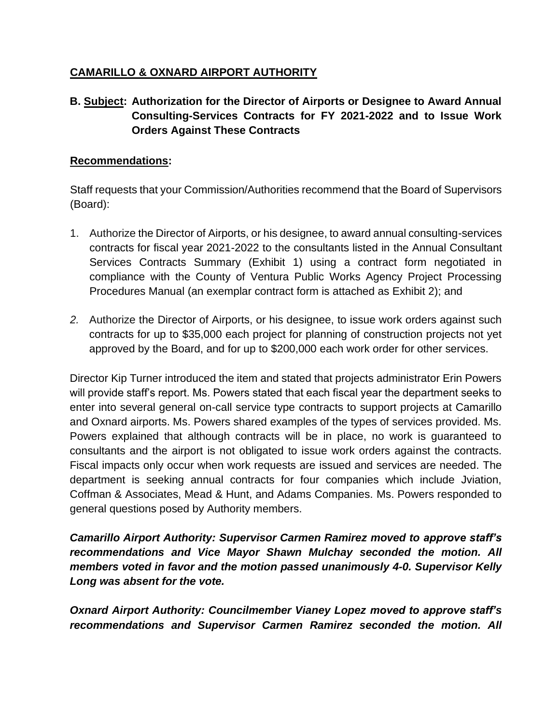# **CAMARILLO & OXNARD AIRPORT AUTHORITY**

# **B. Subject: Authorization for the Director of Airports or Designee to Award Annual Consulting-Services Contracts for FY 2021-2022 and to Issue Work Orders Against These Contracts**

### **Recommendations:**

Staff requests that your Commission/Authorities recommend that the Board of Supervisors (Board):

- 1. Authorize the Director of Airports, or his designee, to award annual consulting-services contracts for fiscal year 2021-2022 to the consultants listed in the Annual Consultant Services Contracts Summary (Exhibit 1) using a contract form negotiated in compliance with the County of Ventura Public Works Agency Project Processing Procedures Manual (an exemplar contract form is attached as Exhibit 2); and
- *2.* Authorize the Director of Airports, or his designee, to issue work orders against such contracts for up to \$35,000 each project for planning of construction projects not yet approved by the Board, and for up to \$200,000 each work order for other services.

Director Kip Turner introduced the item and stated that projects administrator Erin Powers will provide staff's report. Ms. Powers stated that each fiscal year the department seeks to enter into several general on-call service type contracts to support projects at Camarillo and Oxnard airports. Ms. Powers shared examples of the types of services provided. Ms. Powers explained that although contracts will be in place, no work is guaranteed to consultants and the airport is not obligated to issue work orders against the contracts. Fiscal impacts only occur when work requests are issued and services are needed. The department is seeking annual contracts for four companies which include Jviation, Coffman & Associates, Mead & Hunt, and Adams Companies. Ms. Powers responded to general questions posed by Authority members.

*Camarillo Airport Authority: Supervisor Carmen Ramirez moved to approve staff's recommendations and Vice Mayor Shawn Mulchay seconded the motion. All members voted in favor and the motion passed unanimously 4-0. Supervisor Kelly Long was absent for the vote.*

*Oxnard Airport Authority: Councilmember Vianey Lopez moved to approve staff's recommendations and Supervisor Carmen Ramirez seconded the motion. All*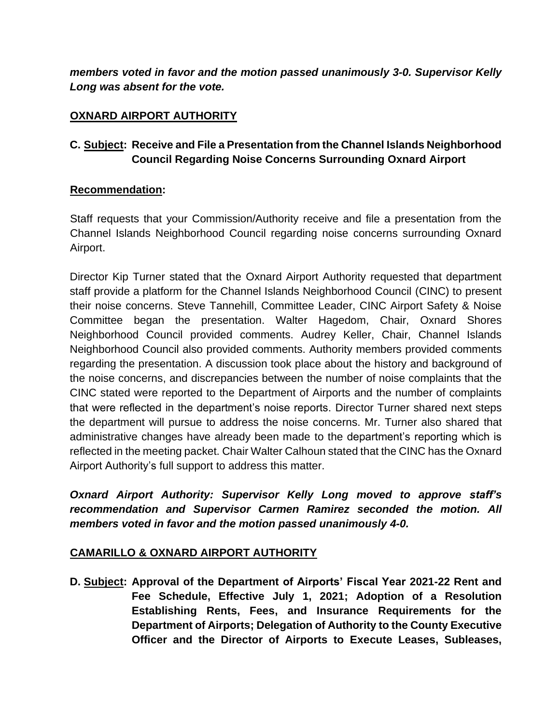*members voted in favor and the motion passed unanimously 3-0. Supervisor Kelly Long was absent for the vote.*

# **OXNARD AIRPORT AUTHORITY**

# **C. Subject: Receive and File a Presentation from the Channel Islands Neighborhood Council Regarding Noise Concerns Surrounding Oxnard Airport**

### **Recommendation:**

Staff requests that your Commission/Authority receive and file a presentation from the Channel Islands Neighborhood Council regarding noise concerns surrounding Oxnard Airport.

Director Kip Turner stated that the Oxnard Airport Authority requested that department staff provide a platform for the Channel Islands Neighborhood Council (CINC) to present their noise concerns. Steve Tannehill, Committee Leader, CINC Airport Safety & Noise Committee began the presentation. Walter Hagedom, Chair, Oxnard Shores Neighborhood Council provided comments. Audrey Keller, Chair, Channel Islands Neighborhood Council also provided comments. Authority members provided comments regarding the presentation. A discussion took place about the history and background of the noise concerns, and discrepancies between the number of noise complaints that the CINC stated were reported to the Department of Airports and the number of complaints that were reflected in the department's noise reports. Director Turner shared next steps the department will pursue to address the noise concerns. Mr. Turner also shared that administrative changes have already been made to the department's reporting which is reflected in the meeting packet. Chair Walter Calhoun stated that the CINC has the Oxnard Airport Authority's full support to address this matter.

*Oxnard Airport Authority: Supervisor Kelly Long moved to approve staff's recommendation and Supervisor Carmen Ramirez seconded the motion. All members voted in favor and the motion passed unanimously 4-0.* 

### **CAMARILLO & OXNARD AIRPORT AUTHORITY**

**D. Subject: Approval of the Department of Airports' Fiscal Year 2021-22 Rent and Fee Schedule, Effective July 1, 2021; Adoption of a Resolution Establishing Rents, Fees, and Insurance Requirements for the Department of Airports; Delegation of Authority to the County Executive Officer and the Director of Airports to Execute Leases, Subleases,**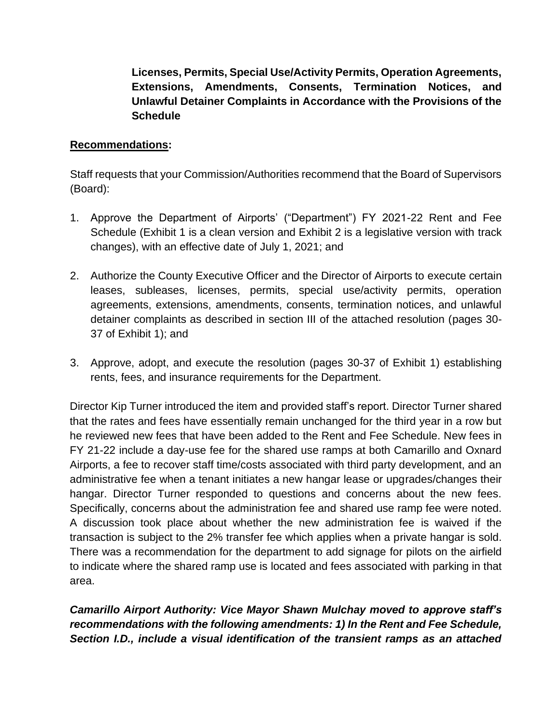**Licenses, Permits, Special Use/Activity Permits, Operation Agreements, Extensions, Amendments, Consents, Termination Notices, and Unlawful Detainer Complaints in Accordance with the Provisions of the Schedule**

#### **Recommendations:**

Staff requests that your Commission/Authorities recommend that the Board of Supervisors (Board):

- 1. Approve the Department of Airports' ("Department") FY 2021-22 Rent and Fee Schedule (Exhibit 1 is a clean version and Exhibit 2 is a legislative version with track changes), with an effective date of July 1, 2021; and
- 2. Authorize the County Executive Officer and the Director of Airports to execute certain leases, subleases, licenses, permits, special use/activity permits, operation agreements, extensions, amendments, consents, termination notices, and unlawful detainer complaints as described in section III of the attached resolution (pages 30- 37 of Exhibit 1); and
- 3. Approve, adopt, and execute the resolution (pages 30-37 of Exhibit 1) establishing rents, fees, and insurance requirements for the Department.

Director Kip Turner introduced the item and provided staff's report. Director Turner shared that the rates and fees have essentially remain unchanged for the third year in a row but he reviewed new fees that have been added to the Rent and Fee Schedule. New fees in FY 21-22 include a day-use fee for the shared use ramps at both Camarillo and Oxnard Airports, a fee to recover staff time/costs associated with third party development, and an administrative fee when a tenant initiates a new hangar lease or upgrades/changes their hangar. Director Turner responded to questions and concerns about the new fees. Specifically, concerns about the administration fee and shared use ramp fee were noted. A discussion took place about whether the new administration fee is waived if the transaction is subject to the 2% transfer fee which applies when a private hangar is sold. There was a recommendation for the department to add signage for pilots on the airfield to indicate where the shared ramp use is located and fees associated with parking in that area.

# *Camarillo Airport Authority: Vice Mayor Shawn Mulchay moved to approve staff's recommendations with the following amendments: 1) In the Rent and Fee Schedule, Section I.D., include a visual identification of the transient ramps as an attached*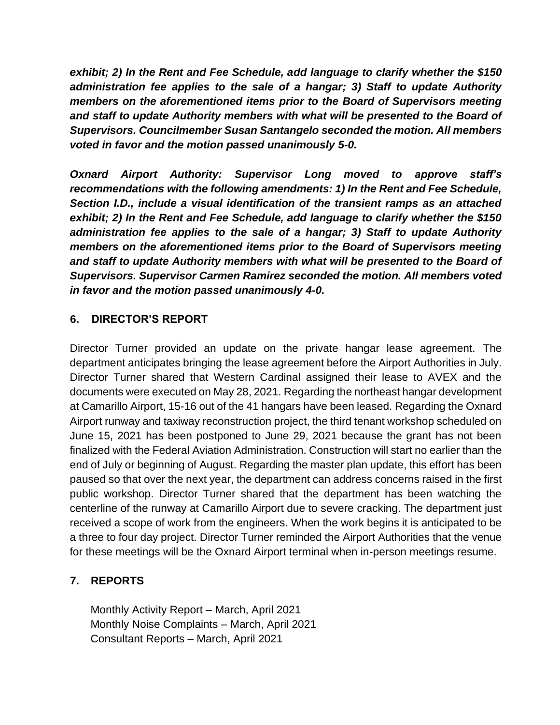*exhibit; 2) In the Rent and Fee Schedule, add language to clarify whether the \$150 administration fee applies to the sale of a hangar; 3) Staff to update Authority members on the aforementioned items prior to the Board of Supervisors meeting and staff to update Authority members with what will be presented to the Board of Supervisors. Councilmember Susan Santangelo seconded the motion. All members voted in favor and the motion passed unanimously 5-0.* 

*Oxnard Airport Authority: Supervisor Long moved to approve staff's recommendations with the following amendments: 1) In the Rent and Fee Schedule, Section I.D., include a visual identification of the transient ramps as an attached exhibit; 2) In the Rent and Fee Schedule, add language to clarify whether the \$150 administration fee applies to the sale of a hangar; 3) Staff to update Authority members on the aforementioned items prior to the Board of Supervisors meeting and staff to update Authority members with what will be presented to the Board of Supervisors. Supervisor Carmen Ramirez seconded the motion. All members voted in favor and the motion passed unanimously 4-0.*

### **6. DIRECTOR'S REPORT**

Director Turner provided an update on the private hangar lease agreement. The department anticipates bringing the lease agreement before the Airport Authorities in July. Director Turner shared that Western Cardinal assigned their lease to AVEX and the documents were executed on May 28, 2021. Regarding the northeast hangar development at Camarillo Airport, 15-16 out of the 41 hangars have been leased. Regarding the Oxnard Airport runway and taxiway reconstruction project, the third tenant workshop scheduled on June 15, 2021 has been postponed to June 29, 2021 because the grant has not been finalized with the Federal Aviation Administration. Construction will start no earlier than the end of July or beginning of August. Regarding the master plan update, this effort has been paused so that over the next year, the department can address concerns raised in the first public workshop. Director Turner shared that the department has been watching the centerline of the runway at Camarillo Airport due to severe cracking. The department just received a scope of work from the engineers. When the work begins it is anticipated to be a three to four day project. Director Turner reminded the Airport Authorities that the venue for these meetings will be the Oxnard Airport terminal when in-person meetings resume.

# **7. REPORTS**

Monthly Activity Report – March, April 2021 Monthly Noise Complaints – March, April 2021 Consultant Reports – March, April 2021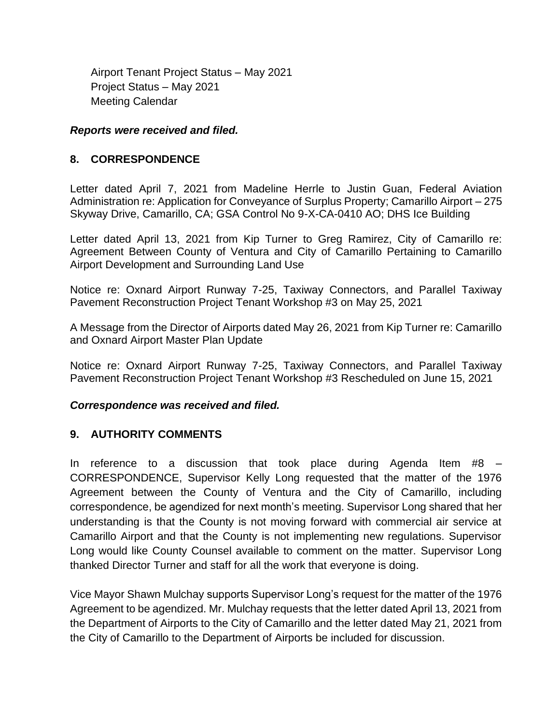Airport Tenant Project Status – May 2021 Project Status – May 2021 Meeting Calendar

#### *Reports were received and filed.*

#### **8. CORRESPONDENCE**

Letter dated April 7, 2021 from Madeline Herrle to Justin Guan, Federal Aviation Administration re: Application for Conveyance of Surplus Property; Camarillo Airport – 275 Skyway Drive, Camarillo, CA; GSA Control No 9-X-CA-0410 AO; DHS Ice Building

Letter dated April 13, 2021 from Kip Turner to Greg Ramirez, City of Camarillo re: Agreement Between County of Ventura and City of Camarillo Pertaining to Camarillo Airport Development and Surrounding Land Use

Notice re: Oxnard Airport Runway 7-25, Taxiway Connectors, and Parallel Taxiway Pavement Reconstruction Project Tenant Workshop #3 on May 25, 2021

A Message from the Director of Airports dated May 26, 2021 from Kip Turner re: Camarillo and Oxnard Airport Master Plan Update

Notice re: Oxnard Airport Runway 7-25, Taxiway Connectors, and Parallel Taxiway Pavement Reconstruction Project Tenant Workshop #3 Rescheduled on June 15, 2021

#### *Correspondence was received and filed.*

### **9. AUTHORITY COMMENTS**

In reference to a discussion that took place during Agenda Item #8 – CORRESPONDENCE, Supervisor Kelly Long requested that the matter of the 1976 Agreement between the County of Ventura and the City of Camarillo, including correspondence, be agendized for next month's meeting. Supervisor Long shared that her understanding is that the County is not moving forward with commercial air service at Camarillo Airport and that the County is not implementing new regulations. Supervisor Long would like County Counsel available to comment on the matter. Supervisor Long thanked Director Turner and staff for all the work that everyone is doing.

Vice Mayor Shawn Mulchay supports Supervisor Long's request for the matter of the 1976 Agreement to be agendized. Mr. Mulchay requests that the letter dated April 13, 2021 from the Department of Airports to the City of Camarillo and the letter dated May 21, 2021 from the City of Camarillo to the Department of Airports be included for discussion.